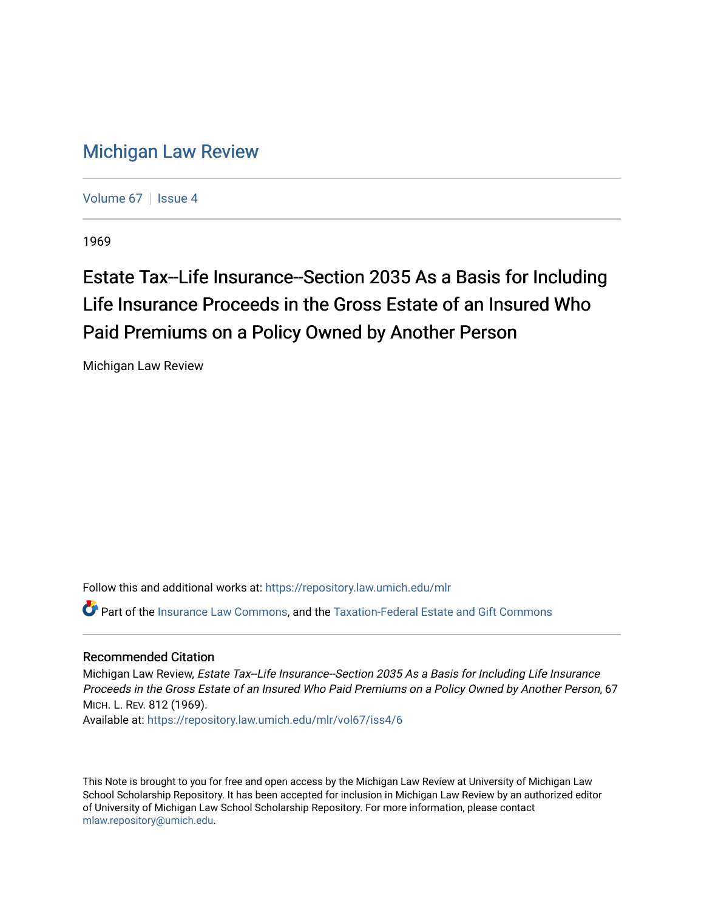## [Michigan Law Review](https://repository.law.umich.edu/mlr)

[Volume 67](https://repository.law.umich.edu/mlr/vol67) | [Issue 4](https://repository.law.umich.edu/mlr/vol67/iss4)

1969

# Estate Tax--Life Insurance--Section 2035 As a Basis for Including Life Insurance Proceeds in the Gross Estate of an Insured Who Paid Premiums on a Policy Owned by Another Person

Michigan Law Review

Follow this and additional works at: [https://repository.law.umich.edu/mlr](https://repository.law.umich.edu/mlr?utm_source=repository.law.umich.edu%2Fmlr%2Fvol67%2Fiss4%2F6&utm_medium=PDF&utm_campaign=PDFCoverPages) 

Part of the [Insurance Law Commons](http://network.bepress.com/hgg/discipline/607?utm_source=repository.law.umich.edu%2Fmlr%2Fvol67%2Fiss4%2F6&utm_medium=PDF&utm_campaign=PDFCoverPages), and the [Taxation-Federal Estate and Gift Commons](http://network.bepress.com/hgg/discipline/880?utm_source=repository.law.umich.edu%2Fmlr%2Fvol67%2Fiss4%2F6&utm_medium=PDF&utm_campaign=PDFCoverPages) 

### Recommended Citation

Michigan Law Review, Estate Tax--Life Insurance--Section 2035 As a Basis for Including Life Insurance Proceeds in the Gross Estate of an Insured Who Paid Premiums on a Policy Owned by Another Person, 67 MICH. L. REV. 812 (1969).

Available at: [https://repository.law.umich.edu/mlr/vol67/iss4/6](https://repository.law.umich.edu/mlr/vol67/iss4/6?utm_source=repository.law.umich.edu%2Fmlr%2Fvol67%2Fiss4%2F6&utm_medium=PDF&utm_campaign=PDFCoverPages)

This Note is brought to you for free and open access by the Michigan Law Review at University of Michigan Law School Scholarship Repository. It has been accepted for inclusion in Michigan Law Review by an authorized editor of University of Michigan Law School Scholarship Repository. For more information, please contact [mlaw.repository@umich.edu.](mailto:mlaw.repository@umich.edu)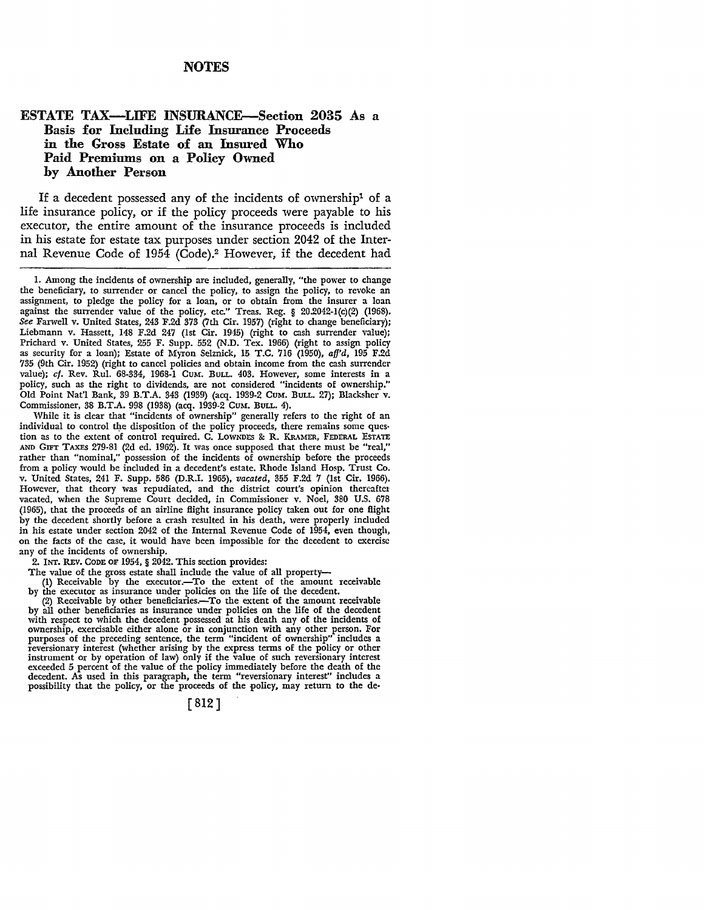#### **NOTES**

### **ESTATE TAX-LIFE INSURANCE-Section 2035 As a Basis :for Including Life Insurance Proceeds**  in the Gross Estate of an Insured Who **Paid Premiums on a Policy Owned hy Another Person**

If a decedent possessed any of the incidents of ownership<sup>1</sup> of a life insurance policy, or if the policy proceeds were payable to his executor, the entire amount of the insurance proceeds is included in his estate for estate tax purposes under section 2042 of the Internal Revenue Code of 1954 (Code).2 However, if the decedent had

While it is clear that "incidents of ownership" generally refers to the right of an individual to control the disposition of the policy proceeds, there remains some question as to the extent of control required. C. LOWNDES &: R. KRAMER, FEDERAL ESTATE AND GIFT TAXES 279-81 (2d ed. 1962). It was once supposed that there must be "real," rather than "nominal," possession of the incidents of ownership before the proceeds from a policy would be included in a decedent's estate. Rhode Island Hosp. Trust Co. v. United States, 241 F. Supp. 586 (D.R.I. 1965), *vacated,* 355 F.2d 7 (1st Cir. 1966). However, that theory was repudiated, and the district court's opinion thereaftet vacated, when the Supreme Court decided, in Commissioner v. Noel, 380 U.S. 678 (1965), that the proceeds of an airline flight insurance policy taken out for one flight by the decedent shortly before a crash resulted in his death, were properly included in his estate under section 2042 of the Internal Revenue Code of 1954, even though, on the facts of the case, it would have been impossible for the decedent to exercise any of the incidents of ownership.

2. INT. REV. CODE OF 1954,  $\S$  2042. This section provides:

The value of the gross estate shall include the value of all property-

(1) Receivable by the executor.-To the extent of the amount receivable by the executor as insurance under policies on the life of the decedent.

(2) Receivable by other beneficiaries.-To the extent of the amount receivable by all other beneficiaries as insurance under policies on the life of the decedent with respect to which the decedent possessed at his death any of the incidents of ownership, exercisable either alone or in conjunction with any other person. For purposes of the preceding sentence, the term "incident of ownership" includes a reversionary interest (whether arising by the express terms of the policy or other instrument or by operation of law) only if the value of such reversionary interest exceeded 5 percent of the value of the policy immediately before the death of the decedent. As used in this paragraph, the term "reversionary interest" includes a possibility that the policy, or the proceeds of the policy, may return to the de-

[ 812]

I. Among the incidents of ownership are included, generally, "the power to change the beneficiary, to surrender or cancel the policy, to assign the policy, to revoke an assignment, to pledge the policy for a loan, or to obtain from the insurer a loan against the surrender value of the policy, etc." Treas. Reg. § 20.2042-l(c)(2) (1968). *See* Farwell v. United States, 243 F.2d 373 (7th Cir. 1957) (right to change beneficiary); Liebmann v. Hassett, 148 F.2d 247 (1st Cir. 1945) (right to cash surrender value); Prichard v. United States, 255 F. Supp. 552 (N.D. Tex. 1966) (right to assign policy as security for a loan); Estate of Myron Selznick, 15 T.C. 716 (1950), *afj'd,* 195 F.2d 735 (9th Cir. 1952) (right to cancel policies and obtain income from the cash surrender value); cf. Rev. Rul. 68-334, 1968-1 CUM. BULL. 403. However, some interests in a policy, such as the right to dividends, are not considered "incidents of ownership." Old Point Nat'l Bank, 39 B.T .A. 343 (1939) (acq. 1939-2 CUM. BULL. 27); Blacksher v. Commissioner, 38 B.T.A. 998 (1938) (acq. 1939-2 CuM. BuLL. 4).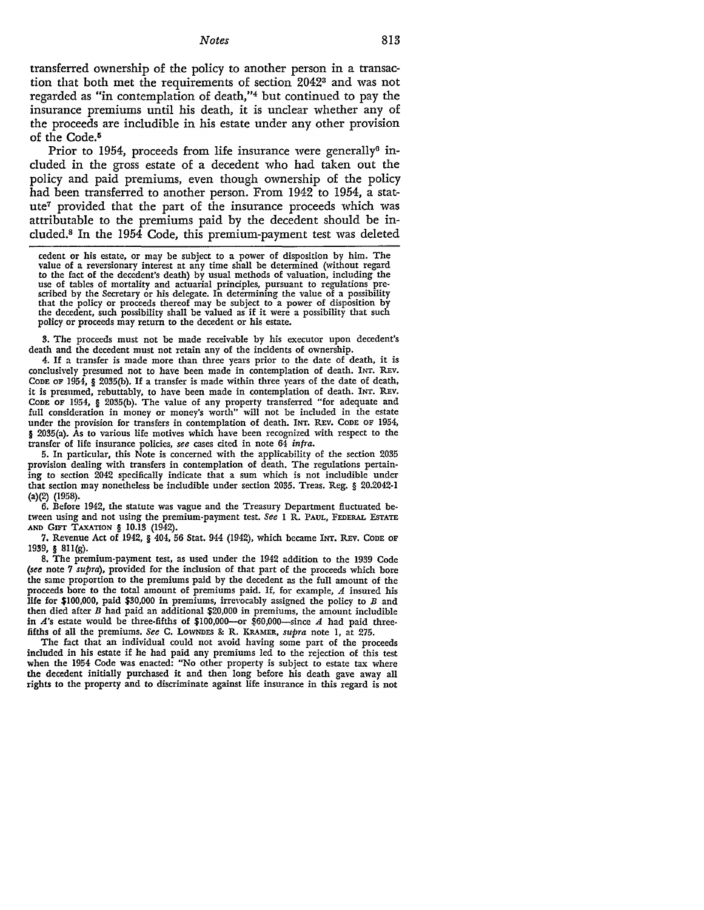#### *Notes* 813

transferred ownership of the policy to another person in a transaction that both met the requirements of section 20423 and was not regarded as "in contemplation of death,"4 but continued to pay the insurance premiums until his death, it is unclear whether any of the proceeds are includible in his estate under any other provision of the Code.<sup>5</sup>

Prior to 1954, proceeds from life insurance were generally<sup>6</sup> included in the gross estate of a decedent who had taken out the policy and paid premiums, even though ownership of the policy had been transferred to another person. From 1942 to 1954, a statute7 provided that the part of the insurance proceeds which was attributable to the premiums paid by the decedent should be included.8 In the 1954 Code, this premium-payment test was deleted

3. The proceeds must not be made receivable by his executor upon decedent's death and the decedent must not retain any of the incidents of ownership.

4. If a transfer is made more than three years prior to the date of death, it is conclusively presumed not to have been made in contemplation of death. INT. REv. CODE OF 1954, § 2035(b). If a transfer is made within three years of the date of death, it is presumed, rebuttably, to have been made in contemplation of death. INT. REv. CODE OF 1954, § 2035(b). The value of any property transferred "for adequate and full consideration in money or money's worth" will not be included in the estate under the provision for transfers in contemplation of death. INT. REV. CODE OF 1954, § 2035(a). As to various life motives which have been recognized with respect to the transfer of life insurance policies, *see* cases cited in note 64 *infra.* 

5. In particular, this Note is concerned with the applicability of the section 2035 provision dealing with transfers in contemplation of death. The regulations pertaining to section 2042 specifically indicate that a sum which is not includible under that section may nonetheless be includible under section 2035. Treas. Reg. § 20.2042-1 (a)(2) (1958).

6. Before 1942, the statute was vague and the Treasury Department fluctuated between using and not using the premium-payment test. *See* I R. PAUL, FEDERAL EsTATE **AND GIFT** TAXATION § 10.13 (1942).

7. Revenue Act of 1942, § 404, 56 Stat. 944 (1942), which became INT. REv. CODE OF 1939, § 8ll(g).

8. The premium-payment test, as used under the 1942 addition to the 1939 Code *(see* note 7 *supra),* provided for the inclusion of that part of the proceeds which bore the same proportion to the premiums paid by the decedent as the full amount of the proceeds bore to the total amount of premiums paid. If, for example, A insured his life for \$100,000, paid \$30,000 in premiums, irrevocably assigned the policy to *B* and then died after *B* had paid an additional \$20,000 in premiums, the amount includible in  $A$ 's estate would be three-fifths of \$100,000-or \$60,000-since  $A$  had paid threefifths of all the premiums. *See* C. LOWNDES & R. KRAMER, *supra* note I, at 275.

The fact that an individual could not avoid having some part of the proceeds included in his estate if he had paid any premiums led to the rejection of this test when the 1954 Code was enacted: "No other property is subject to estate tax where the decedent initially purchased it and then long before his death gave away all rights to the property and to discriminate against life insurance in this regard is not

cedent or his estate, or may be subject to a power of disposition by him. The value of a reversionary interest at any time shall be determined (without regard to the fact of the decedent's death) by usual methods of valuation, including the use of tables of mortality and actuarial principles, pursuant to regulations scribed by the Secretary or his delegate. In determining the value of a possibility that the policy or proceeds thereof may be subject to a power of disposition by the decedent, such possibility shall be valued as if it were a possibility that such policy or proceeds may return to the decedent or his estate.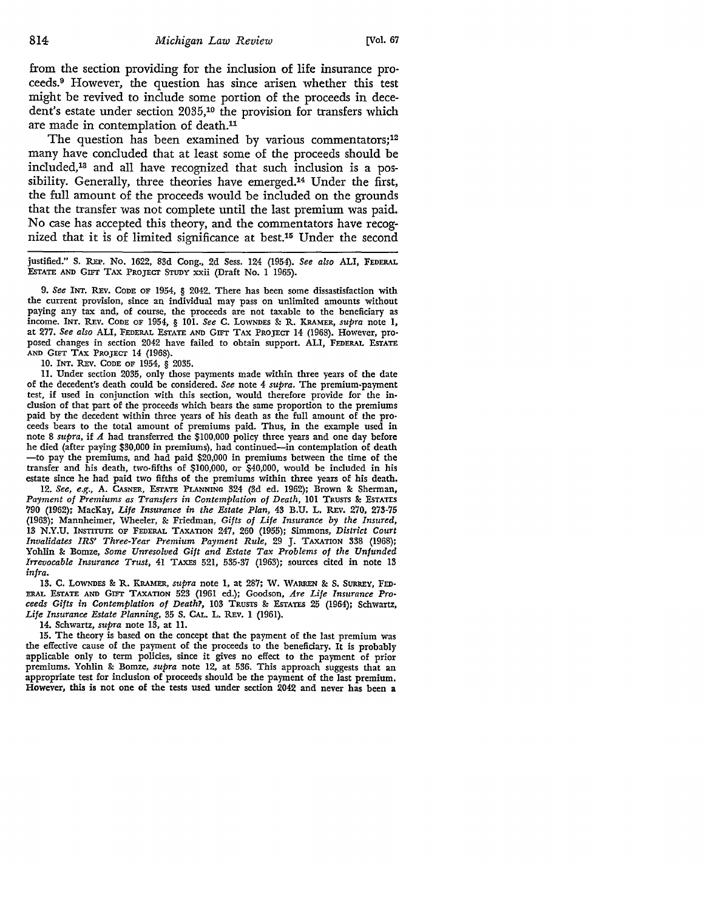from the section providing for the inclusion of life insurance proceeds. 9 However, the question has since arisen whether this test might be revived to include some portion of the proceeds in decedent's estate under section 2035,10 the provision for transfers which are made in contemplation of death.<sup>11</sup>

The question has been examined by various commentators;<sup>12</sup> many have concluded that at least some of the proceeds should be included,13 and all have recognized that such inclusion is a possibility. Generally, three theories have emerged.14 Under the first, the full amount of the proceeds would be included on the grounds that the transfer was not complete until the last premium was paid. No case has accepted this theory, and the commentators have recognized that it 1s of limited significance at best.15 Under the second

justified." S. REP. No. 1622, 83d Cong., 2d Sess. 124 (1954). *See also* ALI, FEDERAL EsTATE AND GIFr TAX PROJECT STUDY xxii (Draft No. I 1965).

9. *See* INT. R.Ev. CODE OF 1954, § 2042. There bas been some dissastisfaction with the current provision, since an individual may pass on unlimited amounts without paying any tax and, of course, the proceeds are not taxable to the beneficiary as income. INT. REv. CODE OF 1954, § IOI. *See* C. LOWNDES &: R. KRAMER, *supra* note I, at 277. *See also* ALI, FEDERAL ESTATE AND GIFr TAX PROJECT 14 (1968). However, pro• posed changes in section 2042 have failed to obtain support. ALI, FEDERAL ESTATE AND GIFT TAX PROJECT 14 (1968).

10. INT. REV. CODE OF 1954, § 2035.

11. Under section 2035, only those payments made within three years of the date of the decedent's death could be considered. *See* note 4 *supra.* The premium-payment test, if used in conjunction with this section, would therefore provide for the inclusion of that part of the proceeds which bears the same proportion to the premiums paid by the decedent within three years of his death as the full amount of the pro• ceeds bears to the total amount of premiums paid. Thus, in the example used in note 8 *supra,* if *A* had transferred the \$100,000 policy three years and one day before he died (after paying \$30,000 in premiums), had continued-in contemplation of death -to pay the premiums, and had paid \$20,000 in premiums between the time of the transfer and his death, two-fifths of \$100,000, or \$40,000, would be included in his estate since he had paid two fifths of the premiums within three years of his death.

12. *See, e.g.,* A. CASNER, ESTATE PLANNING 324 (3d ed. 1962); Brown &: Sherman, Payment of Premiums as Transfers in Contemplation of Death, 101 TRUSTS & ESTATLS 790 (1962); MacKay, *Life Insurance in the Estate Plan,* 43 B.U. L. R.Ev. 270, 273-75 (1963); Mannheimer, Wheeler, &: Friedman, *Gifts of Life Insurance by the Insured,*  13 N.Y.U. INSTITUTE OF FEDERAL TAXATION 247, 260 (1955); Simmons, *District Court Invalidates IRS' Three-Year Premium Payment Rule,* 29 J. TAXATION 338 (1968); Yohlin &: Bomze, *Some Unresolved Gift and Estate Tax Problems of the Unfunded Irrevocable Insurance Trust,* 41 TAXES 521, 535-37 (1963); sources cited in note 13 *infra.* 

13. C. LOWNDES & R. KRAMER, *supra* note 1, at 287; W. WARREN & S. SURREY, FED-ERAL ESTATE AND GIFT TAXATION 523 (1961 ed.); Goodson, *Are Life Insurance Pro• ceeds Gifts in Contemplation of Death?,* 103 TRUSTS & ESTATES 25 (1964); Schwartz, *Life Insurance Estate Planning,* 35 S. CAL. L. REv. 1 (1961).

14. Schwartz, *supra* note 13, at 11.

15. The theory is based on the concept that the payment of the last premium was the effective cause of the payment of the proceeds to the beneficiary. It is probably applicable only to term policies, since it gives no effect to the payment of prior premiums. Yohlin &: Bomze, *supra* note 12, at 536. This approach suggests that an appropriate test for inclusion of proceeds should be the payment of the last premium. However, this is not one of the tests used under section 2042 and never has been a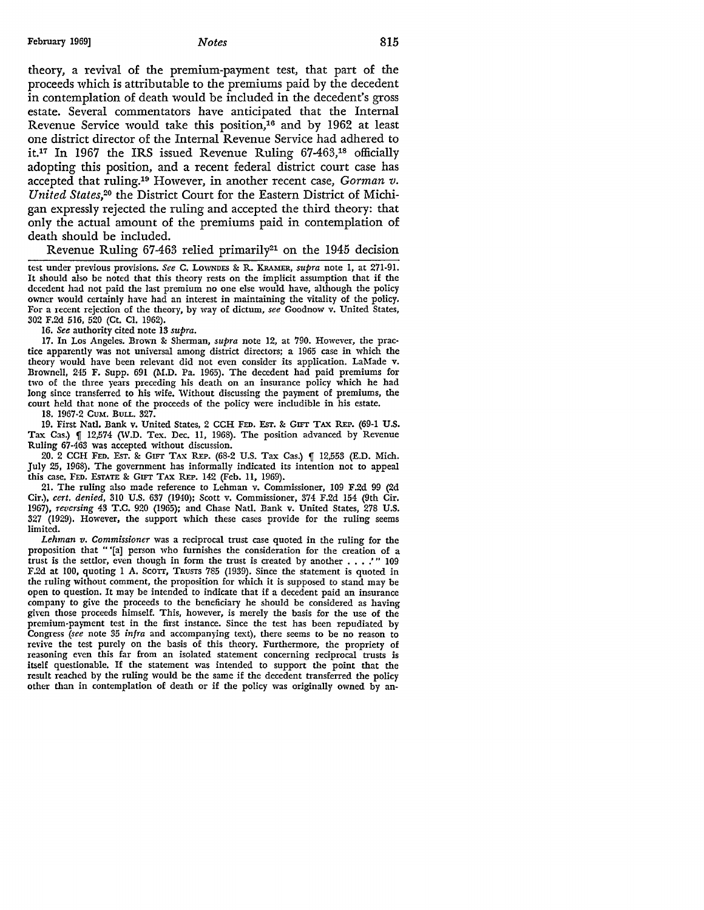theory, a revival of the premium-payment test, that part of the proceeds which is attributable to the premiums paid by the decedent in contemplation of death would be included in the decedent's gross estate. Several commentators have anticipated that the Internal Revenue Service would take this position,<sup>16</sup> and by 1962 at least one district director of the Internal Revenue Service had adhered to it.17 In 1967 the IRS issued Revenue Ruling 67-463,18 officially adopting this position, and a recent federal district court case has accepted that ruling.19 However, in another recent case, *Gorman v. United States,20* the District Court for the Eastern District of Michigan expressly rejected the ruling and accepted the third theory: that only the actual amount of the premiums paid in contemplation of death should be included.

Revenue Ruling  $67-463$  relied primarily<sup>21</sup> on the 1945 decision

test under previous provisions. *See* C. LOWNDES & R. KRAMER, *supra* note I, at 271-91. It should also be noted that this theory rests on the implicit assumption that if the decedent had not paid the last premium no one else would have, although the policy owner would certainly have had an interest in maintaining the vitality of the policy. For a recent rejection of the theory, by way of dictum, *see* Goodnow v. United States, 302 F.2d 516, 520 (Ct. CI. 1962).

16. *See* authority cited note 13 *supra.* 

17. In Los Angeles. Brown & Sherman, *supra* note 12, at 790. However, the practice apparently was not universal among district directors; a 1965 case in which the theory would have been relevant did not even consider its application. LaMade v. Brownell, 245 F. Supp. 691 (M.D. Pa. 1965). The decedent had paid premiums for two of the three years preceding his death on an insurance policy which he had long since transferred to his wife. Without discussing the payment of premiums, the court held that none of the proceeds of the policy were includible in his estate.

18. 1967-2 CUM. BULL. 327.

19. First Natl. Bank v. United States, 2 CCH FED. Esr. & GIFT TAX REP. (69-1 U.S. Tax Cas.) [ 12,574 (W.D. Tex. Dec. 11, 1968). The position advanced by Revenue Ruling 67-463 was accepted without discussion.

20. 2 CCH FED. Esr. & GIFT TAX REP. (68-2 U.S. Tax Cas.) [ 12,553 (E.D. Mich. July 25, 1968). The government has informally indicated its intention not to appeal this case. FED. EsrATE & GIFT TAX REP. 142 (Feb. 11, 1969).

21. The ruling also made reference to Lehman v. Commissioner, 109 F.2d 99 (2d Cir.), *cert. denied,* 310 U.S. 637 (1940); Scott v. Commissioner, 374 F.2d 154 (9th Cir. 1967), *reversing* 43 T.C. 920 (1965); and Chase Natl. Bank v. United States, 278 U.S. 327 (1929). However, the support which these cases provide for the ruling seems limited.

*Lehman v. Commissioner* was a reciprocal trust case quoted in the ruling for the proposition that "'[a] person who furnishes the consideration for the creation of a trust is the settlor, even though in form the trust is created by another  $\dots$ .  $'$  " 109 F.2d at 100, quoting I A. Scorr, TRUSTS 785 (1939). Since the statement is quoted in the ruling without comment, the proposition for which it is supposed to stand may be open to question. It may be intended to indicate that if a decedent paid an insurance company to give the proceeds to the beneficiary he should be considered as having given those proceeds himself. This, however, is merely the basis for the use of the premium-payment test in the first instance. Since the test has been repudiated by Congress *(see* note 35 *infra* and accompanying te.xt), there seems to be no reason to revive the test purely on the basis of this theory. Furthermore, the propriety of reasoning even this far from an isolated statement concerning reciprocal trusts is itself questionable. If the statement was intended to support the point that the result reached by the ruling would be the same if the decedent transferred the policy other than in contemplation of death or if the policy was originally owned by an-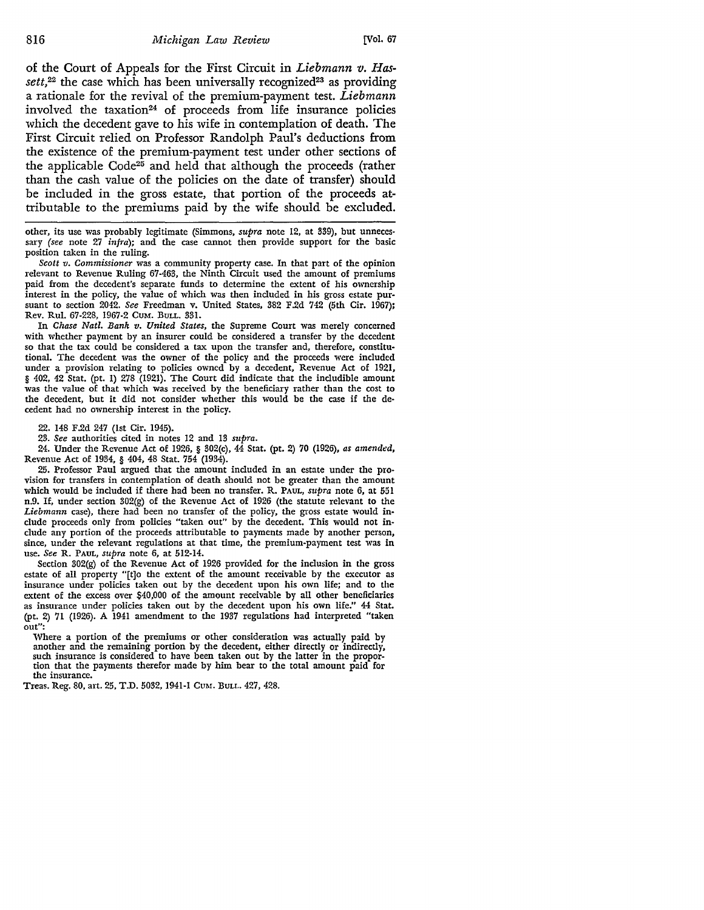of the Court of Appeals for the First Circuit in *Liebmann v. Has*sett,<sup>22</sup> the case which has been universally recognized<sup>23</sup> as providing a rationale for the revival of the premium-payment test. *Liebmann*  involved the taxation<sup>24</sup> of proceeds from life insurance policies which the decedent gave to his wife in contemplation of death. The First Circuit relied on Professor Randolph Paul's deductions from the existence of the premium-payment test under other sections of the applicable  $Code^{25}$  and held that although the proceeds (rather than the cash value of the policies on the date of transfer) should be included in the gross estate, that portion of the proceeds attributable to the premiums paid by the wife should be excluded.

other, its use was probably legitimate (Simmons, *supra* note 12, at 339), but unnecessary (see note 27 *infra);* and the case cannot then provide support for the basic position taken in the ruling.

*Scott v. Commissioner* was a community property case. In that part of the opinion relevant to Revenue Ruling 67-463, the Ninth Circuit used the amount of premiums paid from the decedent's separate funds to determine the extent of his ownership interest in the policy, the value of which was then included in his gross estate pursuant to section 2042. *See* Freedman v. United States, 382 F.2d 742 (5th Cir. 1967); Rev. Rul. 67-228, 1967-2 CUM. BULL. 331.

In *Chase Natl. Bank v. United States,* the Supreme Court was merely concerned with whether payment by an insurer could be considered a transfer by the decedent so that the tax could be considered a tax upon the transfer and, therefore, constitutional. The decedent was the owner of the policy and the proceeds were included under a provision relating to policies owned by a decedent, Revenue Act of 1921, § 402, 42 Stat. (pt. 1) 278 (1921). The Court did indicate that the includible amount was the value of that which was received by the beneficiary rather than the cost to the decedent, but it did not consider whether this would be the case if the decedent had no ownership interest in the policy.

22. 148 F.2d 247 (1st Cir. 1945).

23. See authorities cited in notes 12 and 13 *supra.* 

24. Under the Revenue Act of 1926, § 302(c), 44 Stat. (pt. 2) 70 (1926), *as amended,*  Revenue Act of 1934, § 404, 48 Stat. 754 (1934).

25. Professor Paul argued that the amount included in an estate under the provision for transfers in contemplation of death should not be greater than the amount which would be included if there had been no transfer. R. PAUL, *supra* note 6, at 551 n.9. If, under section 302(g) of the Revenue Act of 1926 (the statute relevant to the *Liebmann* case), there had been no transfer of the policy, the gross estate would in• clude proceeds only from policies "taken out" by the decedent. This would not include any portion of the proceeds attributable to payments made by another person, since, under the relevant regulations at that time, the premium-payment test was in use. *See* R. PAUL, *supra* note 6, at 512-14.

Section 302(g) of the Revenue Act of 1926 provided for the inclusion in the gross estate of all property "[t]o the extent of the amount receivable by the executor as insurance under policies taken out by the decedent upon his own life; and to the extent of the excess over \$40,000 of the amount receivable by all other beneficiaries as insurance under policies taken out by the decedent upon his own life." 44 Stat. (pt. 2) 71 (1926). A 1941 amendment to the 1937 regulations had interpreted "taken **out":** 

Where a portion of the premiums or other consideration was actually paid by another and the remaining portion by the decedent, either directly or indirectly, such insurance is considered to have been taken out by the latter in the proportion that the payments therefor made by him bear to the total amount paid for the insurance.

Treas. Reg. 80, art. 25, T.D. 5032, 1941-1 CuM. BuLL. 427, 428.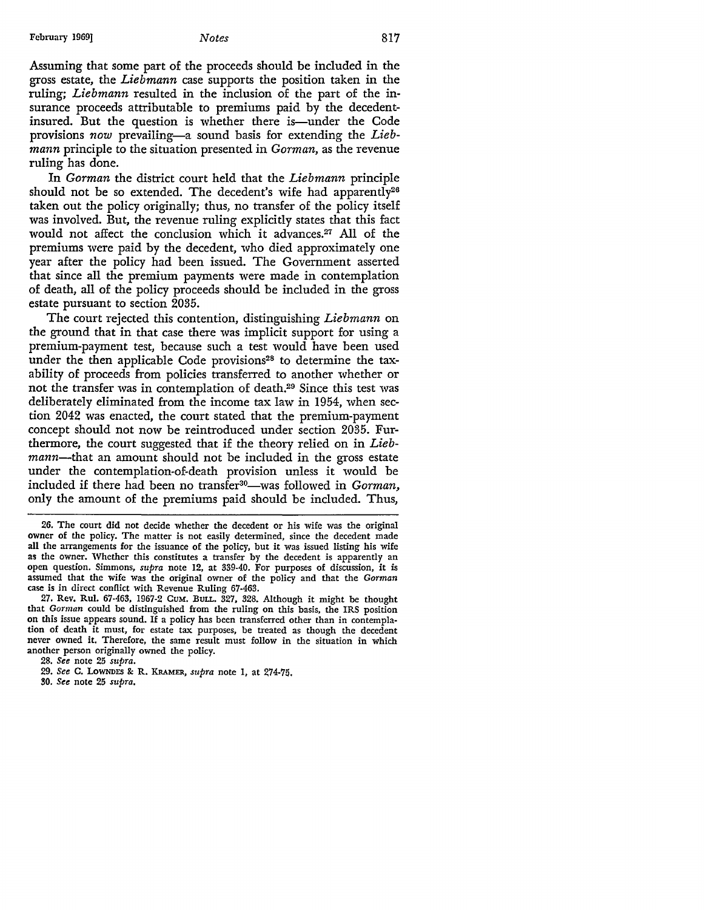Assuming that some part of the proceeds should be included in the gross estate, the *Liebmann* case supports the position taken in the ruling; *Liebmann* resulted in the inclusion of the part of the insurance proceeds attributable to premiums paid by the decedentinsured. But the question is whether there is—under the Code provisions *now* prevailing-a sound basis for extending the *Liebmann* principle to the situation presented in *Gorman,* as the revenue ruling has done.

In *Gorman* the district court held that the *Liebmann* principle should not be so extended. The decedent's wife had apparently<sup>26</sup> taken out the policy originally; thus, no transfer of the policy itself was involved. But, the revenue ruling explicitly states that this fact would not affect the conclusion which it advances.<sup>27</sup> All of the premiums were paid by the decedent, who died approximately one year after the policy had been issued. The Government asserted that since all the premium payments were made in contemplation of death, all of the policy proceeds should be included in the gross estate pursuant to section 2035.

The court rejected this contention, distinguishing *Liebmann* on the ground that in that case there was implicit support for using a premium-payment test, because such a test would have been used under the then applicable Code provisions<sup>28</sup> to determine the taxability of proceeds from policies transferred to another whether or not the transfer was in contemplation of death.29 Since this test was deliberately eliminated from the income tax law in 1954, when section 2042 was enacted, the court stated that the premium-payment concept should not now be reintroduced under section 2035. Furthermore, the court suggested that if the theory relied on in *Liebmann-that* an amount should not be included in the gross estate under the contemplation-of-death provision unless it would be included if there had been no transfer<sup>30</sup>-was followed in *Gorman*, only the amount of the premiums paid should be included. Thus,

26. The court did not decide whether the decedent or his wife was the original owner of the policy. The matter is not easily determined, since the decedent made all the arrangements for the issuance of the policy, but it was issued listing his wife as the owner. 'Whether this constitutes a transfer by the decedent is apparently an open question. Simmons, *supra* note 12, at 339-40. For purposes of discussion, it is assumed that the wife was the original owner of the policy and that the Gorman case is in direct conflict with Revenue Ruling 67-463.

27. Rev. Rul. 67-463, 1967-2 CUM. BULL. 327, 328. Although it might be thought that Gorman could be distinguished from the ruling on this basis, the IRS position on this issue appears sound. If a policy has been transferred other than in contemplation of death it must, for estate tax purposes, be treated as though the decedent never owned it. Therefore, the same result must follow in the situation in which another person originally owned the policy.

28. *See* note 25 *supra.* 

- 29. *See* C. LOWNDES &: R. KRAMER, *supra* note 1, at 274-75.
- 30. *See* note 25 *supra.*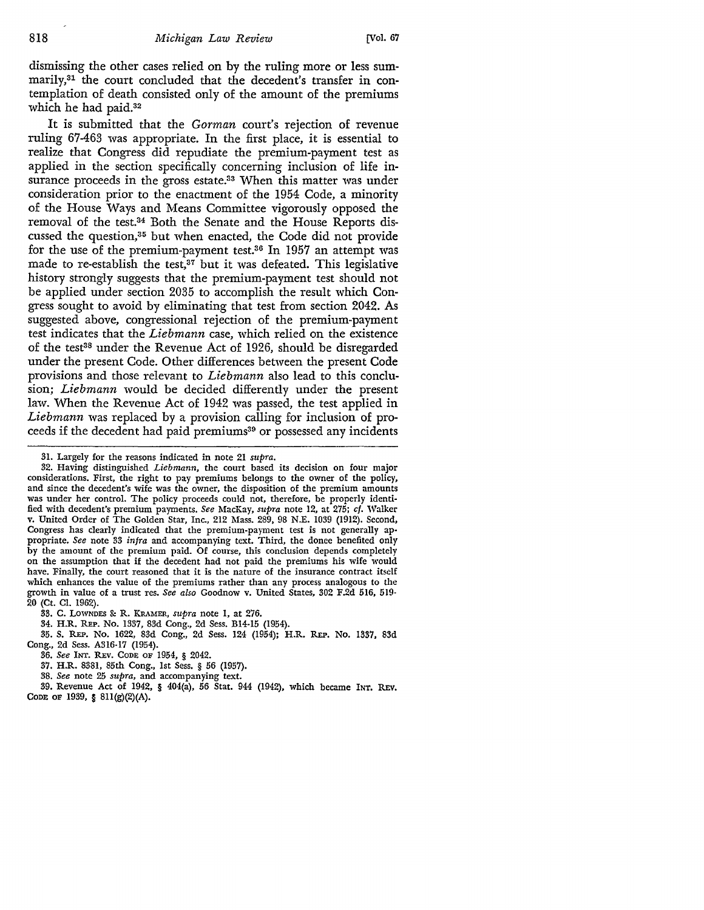dismissing the other cases relied on by the ruling more or less summarily,<sup>31</sup> the court concluded that the decedent's transfer in contemplation of death consisted only of the amount of the premiums which he had paid.32

It is submitted that the *Gorman* court's rejection of revenue ruling 67-463 was appropriate. In the first place, it is essential to realize that Congress did repudiate the premium-payment test as applied in the section specifically concerning inclusion of life insurance proceeds in the gross estate.<sup>33</sup> When this matter was under consideration prior to the enactment of the 1954 Code, a minority of the House Ways and Means Committee vigorously opposed the removal of the test.34 Both the Senate and the House Reports discussed the question,35 but when enacted, the Code did not provide for the use of the premium-payment test.<sup>36</sup> In 1957 an attempt was made to re-establish the test, $37$  but it was defeated. This legislative history strongly suggests that the premium-payment test should not be applied under section 2035 to accomplish the result which Congress sought to avoid by eliminating that test from section 2042. As suggested above, congressional rejection of the premium-payment test indicates that the *Liebmann* case, which relied on the existence of the test<sup>38</sup> under the Revenue Act of 1926, should be disregarded under the present Code. Other differences between the present Code provisions and those relevant to *Liebmann* also lead to this conclusion; *Liebmann* would be decided differently under the present law. When the Revenue Act of 1942 was passed, the test applied in *Liebmann* was replaced by a provision calling for inclusion of proceeds if the decedent had paid premiums<sup>39</sup> or possessed any incidents

- 34. H.R. REP. No. 1337, 83d Cong., 2d Sess. Bl4-15 (1954).
- 35. S. REP. No. 1622, 83d Cong., 2d Sess. 124 (1954); H.R. REP. No. 1337, 83d Cong., 2d Sess. A316-17 (1954).
	- 36. *See* INT. REV. CODE OF 1954, § 2042.
	- 37. H.R. 8381, 85th Cong., 1st Sess. § 56 (1957).
	- 38. *See* note 25 *supra,* and accompanying text.
- 39. Revenue Act of 1942, § 404(a), 56 Stat. 944 (1942), which became INT. REv. CODE OF 1939, § 8ll(g)(2)(A).

<sup>31.</sup> Largely for the reasons indicated in note 21 *supra.* 

<sup>32.</sup> Having distinguished *Liebmann,* the court based its decision on four major considerations. First, the right to pay premiums belongs to the owner of the policy, and since the decedent's wife was the owner, the disposition of the premium amounts was under her control. The policy proceeds could not, therefore, be properly identified with decedent's premium payments. *See* MacKay, *supra* note 12, at 275; *cf.* Walker v. United Order of The Golden Star, Inc., 212 Mass. 289, 98 N.E. 1039 (1912). Second, Congress has clearly indicated that the premium-payment test is not generally appropriate. *See* note 33 *infra* and accompanying text. Third, the donee benefited only by the amount of the premium paid. Of course, this conclusion depends completely on the assumption that if the decedent had not paid the premiums his wife would have. Finally, the court reasoned that it is the nature of the insurance contract itself which enhances the value of the premiums rather than any process analogous to the growth in value of a trust res. *See also* Goodnow v. United States, 302 F.2d 516, 519- 20 (Ct. Cl. 1962).

<sup>33.</sup> C. LOWNDES & R. KRAMER, *supra* note I, at 276.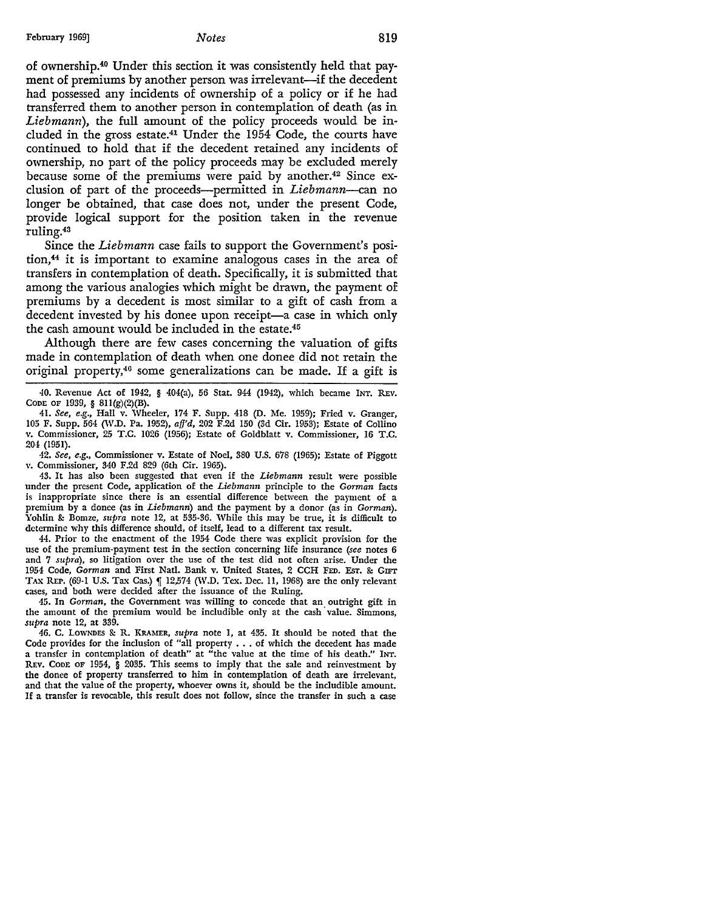of ownership.40 Under this section it was consistently held that payment of premiums by another person was irrelevant—if the decedent had possessed any incidents of ownership of a policy or if he had transferred them to another person in contemplation of death (as in *Liebmann),* the full amount of the policy proceeds would be included in the gross estate.41 Under the 1954 Code, the courts have continued to hold that if the decedent retained any incidents of ownership, no part of the policy proceeds may be excluded merely because some of the premiums were paid by another.<sup>42</sup> Since exclusion of part of the proceeds-permitted in *Liebmann-can* no longer be obtained, that case does not, under the present Code, provide logical support for the position taken in the revenue ruling.43

Since the *Liebmann* case fails to support the Government's position,44 it is important to examine analogous cases in the area of transfers in contemplation of death. Specifically, it is submitted that among the various analogies which might be drawn, the payment of premiums by a decedent is most similar to a gift of cash from a decedent invested by his donee upon receipt-a case in which only the cash amount would be included in the estate.45

Although there are few cases concerning the valuation of gifts made in contemplation of death when one donee did not retain the original property,4° some generalizations can be made. If a gift is

42. *See, e.g.,* Commissioner v. Estate of Noel, 380 U.S. 678 (1965); Estate of Piggott v. Commissioner, 340 F.2d 829 (6th Cir. 1965).

43. It has also been suggested that even if the *Liebmann* result were possible under the present Code, application of the *Liebmann* principle to the *Gorman* facts is inappropriate since there is an essential difference between the payment of a premium by a donee (as in *Liebmann*) and the payment by a donor (as in *Gorman*). Yohlin & Bomze, *supra* note 12, at 535-36. While this may be true, it is difficult to determine why this difference should, of itself, lead to a different tax result.

44. Prior to the enactment of the 1954 Code there was explicit provision for the use of the premium-payment test in the section concerning life insurance *(see* notes 6 and 7 *supra),* so litigation over the use of the test did not often arise. Under the 1954 Code, *Gorman* and First Natl. Dank v. United States, 2 CCH FED. EsT. &: GIFI' TAX REP. (69-1 U.S. Tax Cas.) | 12,574 (W.D. Tex. Dec. 11, 1968) are the only relevant cases, and both were decided after the issuance of the Ruling.

45. In *Gorman,* the Government was willing to concede that an outright gift in the amount of the premium would be includible only at the cash· value. Simmons, *supra* note 12, at 339.

46. C. LOWNDES &: R. KRAMER, *supra* note I, at 435. It should be noted that the Code provides for the inclusion of "all property  $\dots$  of which the decedent has made a transfer in contemplation of death" at "the value at the time of his death." INT. REv. CODE OF 1954, § 2035. This seems to imply that the sale and reinvestment by the donee of property transferred to him in contemplation of death are irrelevant, and that the value of the property, whoever owns it, should be the includible amount. If a transfer is revocable, this result does not follow, since the transfer in such a case

<sup>40.</sup> Revenue Act of 1942, § 404(a), 56 Stat. 944 (1942), which became INT. REv. CODE OF 1939, § 81l(g)(2)(B).

<sup>41.</sup> *See, e.g.,* Hall v. Wheeler, 174 F. Supp. 418 (D. Me. 1959); Fried v. Granger, 105 F. Supp. 564 (W.D. Pa. 1952), afj'd, 202 F.2d 150 (3d Cir. 1953); Estate of Collino v. Commissioner, 25 T.C. 1026 (1956); Estate of Goldblatt v. Commissioner, 16 T.C. 204 (1951).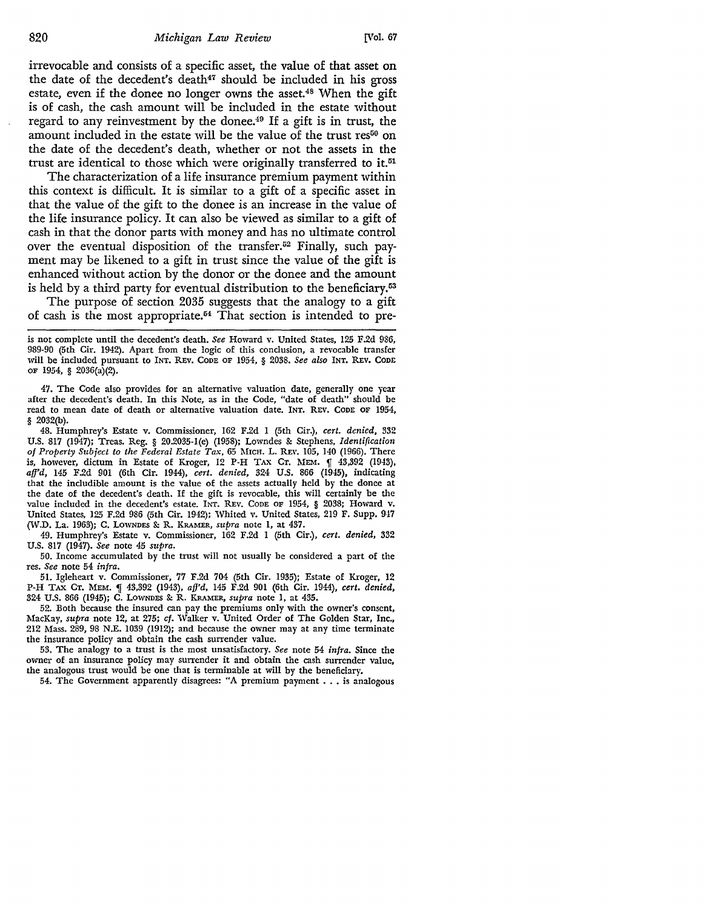irrevocable and consists of a specific asset, the value of that asset on the date of the decedent's death<sup>47</sup> should be included in his gross estate, even if the donee no longer owns the asset.<sup>48</sup> When the gift is of cash, the cash amount will be included in the estate without regard to any reinvestment by the donee.<sup>49</sup> If a gift is in trust, the amount included in the estate will be the value of the trust res<sup>50</sup> on the date of the decedent's death, whether or not the assets in the trust are identical to those which were originally transferred to it.<sup>51</sup>

The characterization of a life insurance premium payment within this context is difficult. It is similar to a gift of a specific asset in that the value of the gift to the donee is an increase in the value of the life insurance policy. It can also be viewed as similar to a gift of cash in that the donor parts with money and has no ultimate control over the eventual disposition of the transfer.<sup>52</sup> Finally, such payment may be likened to a gift in trust since the value of the gift is enhanced without action by the donor or the donee and the amount is held by a third party for eventual distribution to the beneficiary.<sup>53</sup>

The purpose of section 2035 suggests that the analogy to a gift of cash is the most appropriate.54 That section is intended to pre-

is not complete until the decedent's death. *See* Howard v. United States, 125 F.2d 986, 989-90 (5th Cir. 1942). Apart from the logic of this conclusion, a revocable transfer will be included pursuant to INT. REV. CODE OF 1954, § 2038. *See also* INT. REV. CODE OF 1954, § 2036(a)(2).

47. The Code also provides for an alternative valuation date, generally one year after the decedent's death. In this Note, as in the Code, "date of death" should be read to mean date of death or alternative valuation date. INT. REV. CODE OF 1954, § 2032(b).

48. Humphrey's Estate v. Commissioner, 162 F.2d 1 (5th Cir.), *cert. denied,* 332 U.S. 817 (1947); Treas. Reg. § 20.2035-l(e) (1958); Lowndes &: Stephens, *Identification*  of Property Subject to the Federal Estate Tax, 65 MICH. L. REv. 105, 140 (1966). There is, however, dictum in Estate of Kroger, 12 P-H TAX Cr. MEM.  $\parallel$  43,392 (1943), *affd,* 145 F.2d 901 (6th Cir. 1944), *cert. denied,* 324 U.S. 866 (1945), indicating that the includible amount is the value of the assets actually held by the donee at the date of the decedent's death. If the gift is revocable, this will certainly be the value included in the decedent's estate. INT. REv. CODE OF 1954, § 2038; Howard v. United States, 125 F.2d 986 (5th Cir. 1942); Whited v. United States, 219 F. Supp. 947 (W.D. La. 1963); C. LOWNDES &: R. KRAMER, *supra* note 1, at 437.

49. Humphrey's Estate v. Commissioner, 162 F.2d 1 (5th Cir.), *cert. denied,* 332 U.S. 817 (1947). *See* note 45 *supra.* 

50. Income accumulated by the trust will not usually be considered a part of the res. *See* note 54 *infra.* 

51. Igleheart v. Commissioner, 77 F.2d 704 (5th Cir. 1935); Estate of Kroger, 12 P-H TAX CT. MEM. ,f 43,392 (1943), *afj'd,* 145 F.2d 901 (6th Cir. 1944), *cert. denied,*  324 U.S. 866 (1945); C. LOWNDES &: R. KRAMER, *supra* note 1, at 435.

52. Both because the insured can pay the premiums only with the owner's consent, MacKay, *supra* note 12, at 275; *cf.* Walker v. United Order of The Golden Star, Inc., 212 Mass. 289, 98 N.E. 1039 (1912); and because the owner may at any time terminate the insurance policy and obtain the cash surrender value.

53. The analogy to a trust is the most unsatisfactory. *See* note 54 *infra.* Since the owner of an insurance policy may surrender it and obtain the cash surrender value, the analogous trust would be one that is terminable at will by the beneficiary.

54. The Government apparently disagrees: "A premium payment ..• is analogous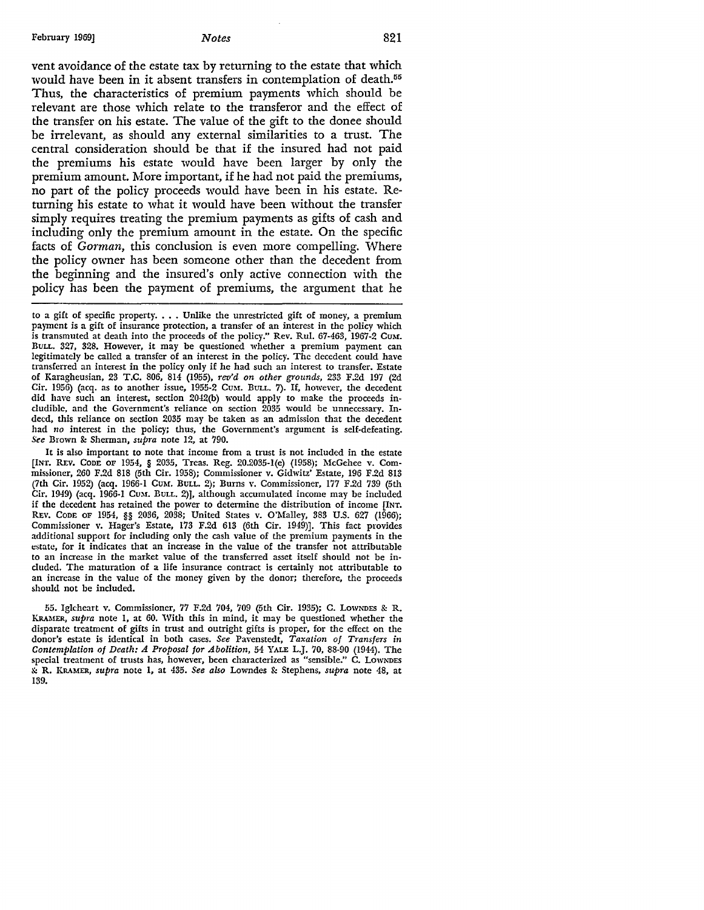vent avoidance of the estate tax by returning to the estate that which would have been in it absent transfers in contemplation of death.<sup>55</sup> Thus, the characteristics of premium payments which should be relevant are those which relate to the transferor and the effect of the transfer on his estate. The value of the gift to the donee should be irrelevant, as should any external similarities to a trust. The central consideration should be that if the insured had not paid the premiums his estate would have been larger by only the premium amount. More important, if he had not paid the premiums, no part of the policy proceeds would have been in his estate. Returning his estate to what it would have been without the transfer simply requires treating the premium payments as gifts of cash and including only the premium amount in the estate. On the specific facts of *Gorman*, this conclusion is even more compelling. Where the policy owner has been someone other than the decedent from the beginning and the insured's only active connection with the policy has been the payment of premiums, the argument that he

It is also important to note that income from a trust is not included in the estate [INT. REV. CODE OF 1954, § 2035, Treas. Reg. 20.2035-l(e) (1958); McGehee v. Commissioner, 260 F.2d 818 (5th Cir. 1958); Commissioner v. Gidwitz' Estate, 196 F.2d 813 (7th Cir. 1952) (acq. 1966-1 Cum. BuLL. 2); Burns v. Commissioner, 177 F.2d 739 (5th Cir. 1949) (acq. 1966-1 Cum. BuLL. 2)], although accumulated income may be included if the decedent has retained the power to determine the distribution of income [INT. REV. CODE OF 1954, §§ 2036, 2038; United States v. O'Malley, 383 U.S. 627 (1966); Commissioner v. Hager's Estate, 173 F.2d 613 (6th Cir. 1949)]. This fact provides additional support for including only the cash value of the premium payments in the estate, for it indicates that an increase in the value of the transfer not attributable to an increase in the market value of the transferred asset itself should not be included. The maturation of a life insurance contract is certainly not attributable to an increase in the value of the money given by the donor; therefore, the proceeds should not be included.

55. Igkheart v. Commissioner, 77 F.2d 704, 709 (5th Cir. 1935); C. LOWNDES & R. KRAMER, *supra* note 1, at 60. With this in mind, it may be questioned whether the disparate treatment of gifts in trust and outright gifts is proper, for the effect on the donor's estate is identical in both cases. *See* Pavenstedt, *Taxation of Transfers in Contemplation of Death: A Proposal for Abolition,* 54 YALE L.J. 70, 88-90 (1944). The special treatment of trusts has, however, been characterized as "sensible.'' C. LOWNDES & R. KRAMER, *supra* note 1, at 435. *See also* Lowndes & Stephens, *supra* note 48, at 139.

to a gift of specific property.  $\ldots$  Unlike the unrestricted gift of money, a premium payment is a gift of insurance protection, a transfer of an interest in the policy which is transmuted at death into the proceeds of the policy." Rev. Rul.  $67-463$ , 1967-2 Cum. BULL. 327, 328. However, it may be questioned whether a premium payment can legitimately be called a transfer of an interest in the policy. The decedent could have transferred an interest in the policy only if he had such an interest to transfer. Estate of Karagheusian, 23 T.C. 806, 814 (1955), *rev'd on other grounds,* 233 F.2d 197 (2d Cir. 1956) (acq. as to another issue, 1955-2 CuM. BuLL. 7). If, however, the decedent did have such an interest, section 2042(b) would apply to make the proceeds includiblc, and the Government's reliance on section 2035 would be unnecessary. Indeed, this reliance on section 2035 may be taken as an admission that the decedent had *no* interest in the policy; thus, the Government's argument is self-defeating. *See* Brown &: Sherman, *supra* note 12, at 790.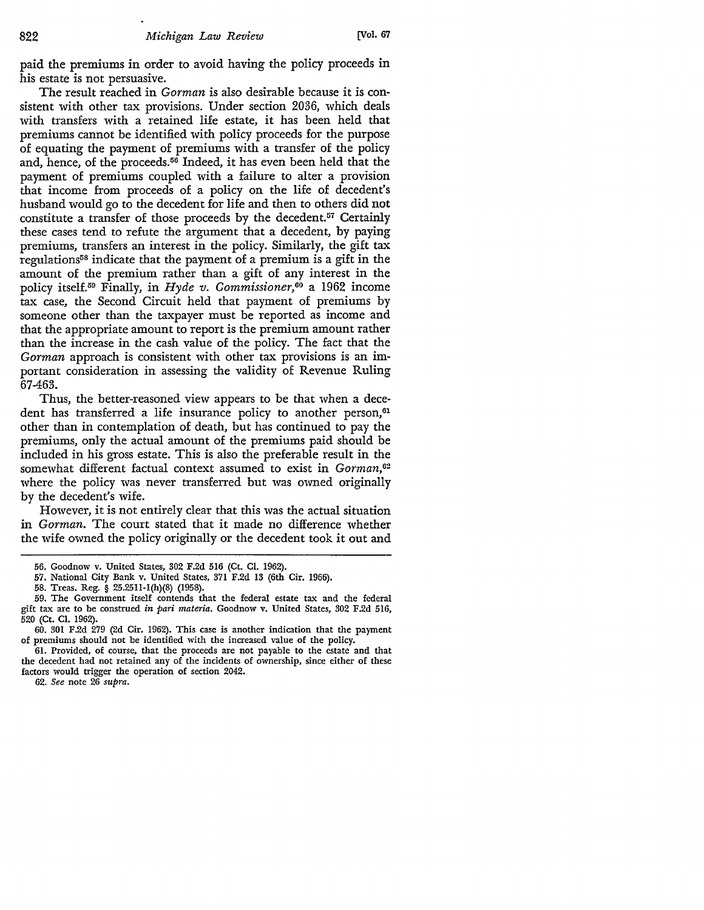paid the premiums in order to avoid having the policy proceeds in his estate is not persuasive.

The result reached in *Gorman* is also desirable because it is consistent with other tax provisions. Under section 2036, which deals with transfers with a retained life estate, it has been held that premiums cannot be identified with policy proceeds for the purpose of equating the payment of premiums with a transfer of the policy and, hence, of the proceeds.56 Indeed, it has even been held that the payment of premiums coupled with a failure to alter a provision that income from proceeds of a policy on the life of decedent's husband would go to the decedent for life and then to others did not constitute a transfer of those proceeds by the decedent.57 Certainly these cases tend to refute the argument that a decedent, by paying premiums, transfers an interest in the policy. Similarly, the gift tax regulations<sup>58</sup> indicate that the payment of a premium is a gift in the amount of the premium rather than a gift of any interest in the policy itself.59 Finally, in *Hyde v. Commissioner,60* a 1962 income tax case, the Second Circuit held that payment of premiums by someone other than the taxpayer must be reported as income and that the appropriate amount to report is the premium amount rather than the increase in the cash value of the policy. The fact that the *Gorman* approach is consistent with other tax provisions is an important consideration in assessing the validity of Revenue Ruling 67-463.

Thus, the better-reasoned view appears to be that when a decedent has transferred a life insurance policy to another person,<sup>61</sup> other than in contemplation of death, but has continued to pay the premiums, only the actual amount of the premiums paid should be included in his gross estate. This is also the preferable result in the somewhat different factual context assumed to exist in *Gorman*,<sup>62</sup> where the policy was never transferred but was owned originally by the decedent's wife.

However, it is not entirely clear that this was the actual situation in *Gorman.* The court stated that it made no difference whether the wife owned the policy originally or the decedent took it out and

<sup>56.</sup> Goodnow v. United States, 302 F.2d 516 (Ct. Cl. 1962).

<sup>57.</sup> National City Bank v. United States, 371 F.2d 13 (6th Cir. 1966).

<sup>58.</sup> Treas. Reg. § 25.2511-l(h)(S) (1958).

<sup>59.</sup> The Government itself contends that the federal estate tax and the federal gift tax are to be construed *in pari materia.* Goodnow v. United States, 302 F.2d 516, 520 (Ct. Cl. 1962).

<sup>60. 301</sup> F.2d 279 (2d Cir. 1962). This case is another indication that the payment of premiums should not be identified with the increased value of the policy.

<sup>61.</sup> Provided, of course, that the proceeds are not payable to the estate and that the decedent had not retained any of the incidents of ownership, since either of these factors would trigger the operation of section 2042.

<sup>62.</sup> *See* note 26 *supra.*